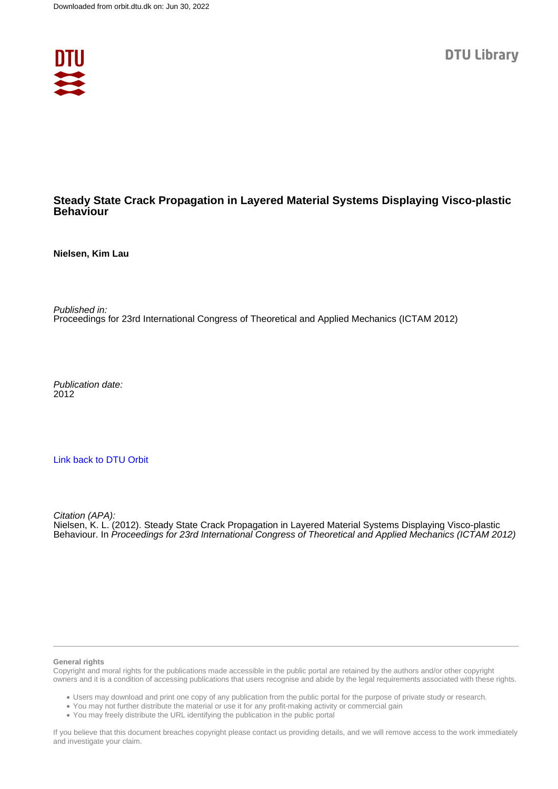

# **Steady State Crack Propagation in Layered Material Systems Displaying Visco-plastic Behaviour**

**Nielsen, Kim Lau**

Published in: Proceedings for 23rd International Congress of Theoretical and Applied Mechanics (ICTAM 2012)

Publication date: 2012

[Link back to DTU Orbit](https://orbit.dtu.dk/en/publications/19e4e46e-a95f-4c4b-9aa1-abafed628134)

Citation (APA):

Nielsen, K. L. (2012). Steady State Crack Propagation in Layered Material Systems Displaying Visco-plastic Behaviour. In Proceedings for 23rd International Congress of Theoretical and Applied Mechanics (ICTAM 2012)

#### **General rights**

Copyright and moral rights for the publications made accessible in the public portal are retained by the authors and/or other copyright owners and it is a condition of accessing publications that users recognise and abide by the legal requirements associated with these rights.

Users may download and print one copy of any publication from the public portal for the purpose of private study or research.

- You may not further distribute the material or use it for any profit-making activity or commercial gain
- You may freely distribute the URL identifying the publication in the public portal

If you believe that this document breaches copyright please contact us providing details, and we will remove access to the work immediately and investigate your claim.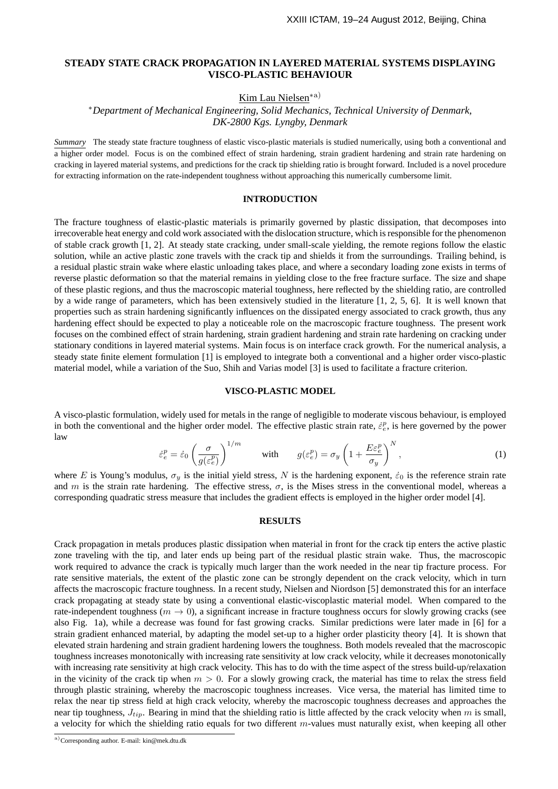## **STEADY STATE CRACK PROPAGATION IN LAYERED MATERIAL SYSTEMS DISPLAYING VISCO-PLASTIC BEHAVIOUR**

Kim Lau Nielsen∗a)

<sup>∗</sup>*Department of Mechanical Engineering, Solid Mechanics, Technical University of Denmark, DK-2800 Kgs. Lyngby, Denmark*

*Summary* The steady state fracture toughness of elastic visco-plastic materials is studied numerically, using both a conventional and a higher order model. Focus is on the combined effect of strain hardening, strain gradient hardening and strain rate hardening on cracking in layered material systems, and predictions for the crack tip shielding ratio is brought forward. Included is a novel procedure for extracting information on the rate-independent toughness without approaching this numerically cumbersome limit.

### **INTRODUCTION**

The fracture toughness of elastic-plastic materials is primarily governed by plastic dissipation, that decomposes into irrecoverable heat energy and cold work associated with the dislocation structure, which is responsible for the phenomenon of stable crack growth [1, 2]. At steady state cracking, under small-scale yielding, the remote regions follow the elastic solution, while an active plastic zone travels with the crack tip and shields it from the surroundings. Trailing behind, is a residual plastic strain wake where elastic unloading takes place, and where a secondary loading zone exists in terms of reverse plastic deformation so that the material remains in yielding close to the free fracture surface. The size and shape of these plastic regions, and thus the macroscopic material toughness, here reflected by the shielding ratio, are controlled by a wide range of parameters, which has been extensively studied in the literature [1, 2, 5, 6]. It is well known that properties such as strain hardening significantly influences on the dissipated energy associated to crack growth, thus any hardening effect should be expected to play a noticeable role on the macroscopic fracture toughness. The present work focuses on the combined effect of strain hardening, strain gradient hardening and strain rate hardening on cracking under stationary conditions in layered material systems. Main focus is on interface crack growth. For the numerical analysis, a steady state finite element formulation [1] is employed to integrate both a conventional and a higher order visco-plastic material model, while a variation of the Suo, Shih and Varias model [3] is used to facilitate a fracture criterion.

#### **VISCO-PLASTIC MODEL**

A visco-plastic formulation, widely used for metals in the range of negligible to moderate viscous behaviour, is employed in both the conventional and the higher order model. The effective plastic strain rate,  $\dot{\epsilon}_e^p$ , is here governed by the power law

$$
\dot{\varepsilon}_e^p = \dot{\varepsilon}_0 \left( \frac{\sigma}{g(\varepsilon_e^p)} \right)^{1/m} \qquad \text{with} \qquad g(\varepsilon_e^p) = \sigma_y \left( 1 + \frac{E \varepsilon_e^p}{\sigma_y} \right)^N, \tag{1}
$$

where E is Young's modulus,  $\sigma_y$  is the initial yield stress, N is the hardening exponent,  $\dot{\varepsilon}_0$  is the reference strain rate and m is the strain rate hardening. The effective stress,  $\sigma$ , is the Mises stress in the conventional model, whereas a corresponding quadratic stress measure that includes the gradient effects is employed in the higher order model [4].

#### **RESULTS**

Crack propagation in metals produces plastic dissipation when material in front for the crack tip enters the active plastic zone traveling with the tip, and later ends up being part of the residual plastic strain wake. Thus, the macroscopic work required to advance the crack is typically much larger than the work needed in the near tip fracture process. For rate sensitive materials, the extent of the plastic zone can be strongly dependent on the crack velocity, which in turn affects the macroscopic fracture toughness. In a recent study, Nielsen and Niordson [5] demonstrated this for an interface crack propagating at steady state by using a conventional elastic-viscoplastic material model. When compared to the rate-independent toughness ( $m \to 0$ ), a significant increase in fracture toughness occurs for slowly growing cracks (see also Fig. 1a), while a decrease was found for fast growing cracks. Similar predictions were later made in [6] for a strain gradient enhanced material, by adapting the model set-up to a higher order plasticity theory [4]. It is shown that elevated strain hardening and strain gradient hardening lowers the toughness. Both models revealed that the macroscopic toughness increases monotonically with increasing rate sensitivity at low crack velocity, while it decreases monotonically with increasing rate sensitivity at high crack velocity. This has to do with the time aspect of the stress build-up/relaxation in the vicinity of the crack tip when  $m > 0$ . For a slowly growing crack, the material has time to relax the stress field through plastic straining, whereby the macroscopic toughness increases. Vice versa, the material has limited time to relax the near tip stress field at high crack velocity, whereby the macroscopic toughness decreases and approaches the near tip toughness,  $J_{tin}$ . Bearing in mind that the shielding ratio is little affected by the crack velocity when m is small, a velocity for which the shielding ratio equals for two different m-values must naturally exist, when keeping all other

a)Corresponding author. E-mail: kin@mek.dtu.dk